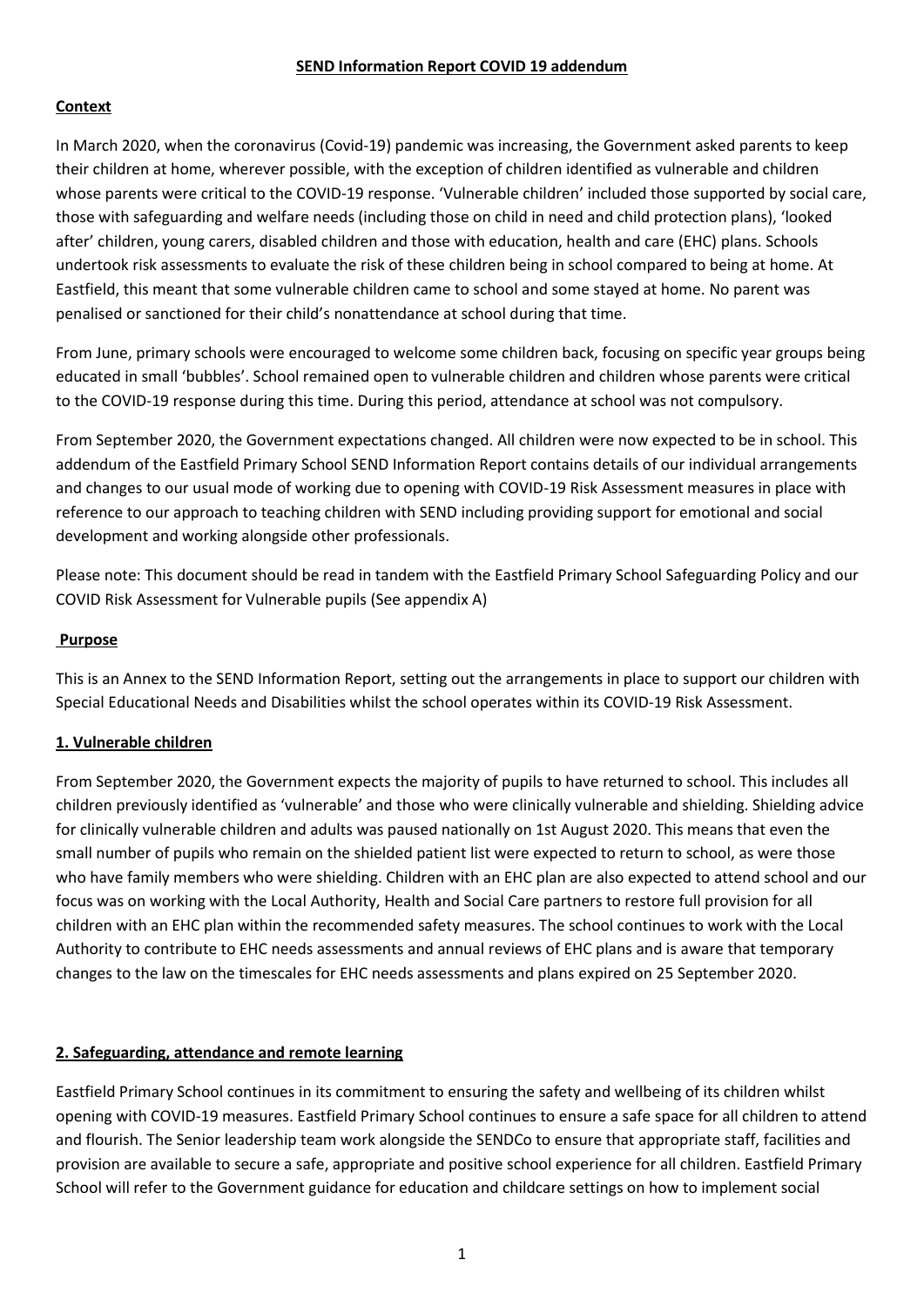#### **SEND Information Report COVID 19 addendum**

### **Context**

In March 2020, when the coronavirus (Covid-19) pandemic was increasing, the Government asked parents to keep their children at home, wherever possible, with the exception of children identified as vulnerable and children whose parents were critical to the COVID-19 response. 'Vulnerable children' included those supported by social care, those with safeguarding and welfare needs (including those on child in need and child protection plans), 'looked after' children, young carers, disabled children and those with education, health and care (EHC) plans. Schools undertook risk assessments to evaluate the risk of these children being in school compared to being at home. At Eastfield, this meant that some vulnerable children came to school and some stayed at home. No parent was penalised or sanctioned for their child's nonattendance at school during that time.

From June, primary schools were encouraged to welcome some children back, focusing on specific year groups being educated in small 'bubbles'. School remained open to vulnerable children and children whose parents were critical to the COVID-19 response during this time. During this period, attendance at school was not compulsory.

From September 2020, the Government expectations changed. All children were now expected to be in school. This addendum of the Eastfield Primary School SEND Information Report contains details of our individual arrangements and changes to our usual mode of working due to opening with COVID-19 Risk Assessment measures in place with reference to our approach to teaching children with SEND including providing support for emotional and social development and working alongside other professionals.

Please note: This document should be read in tandem with the Eastfield Primary School Safeguarding Policy and our COVID Risk Assessment for Vulnerable pupils (See appendix A)

#### **Purpose**

This is an Annex to the SEND Information Report, setting out the arrangements in place to support our children with Special Educational Needs and Disabilities whilst the school operates within its COVID-19 Risk Assessment.

#### **1. Vulnerable children**

From September 2020, the Government expects the majority of pupils to have returned to school. This includes all children previously identified as 'vulnerable' and those who were clinically vulnerable and shielding. Shielding advice for clinically vulnerable children and adults was paused nationally on 1st August 2020. This means that even the small number of pupils who remain on the shielded patient list were expected to return to school, as were those who have family members who were shielding. Children with an EHC plan are also expected to attend school and our focus was on working with the Local Authority, Health and Social Care partners to restore full provision for all children with an EHC plan within the recommended safety measures. The school continues to work with the Local Authority to contribute to EHC needs assessments and annual reviews of EHC plans and is aware that temporary changes to the law on the timescales for EHC needs assessments and plans expired on 25 September 2020.

#### **2. Safeguarding, attendance and remote learning**

Eastfield Primary School continues in its commitment to ensuring the safety and wellbeing of its children whilst opening with COVID-19 measures. Eastfield Primary School continues to ensure a safe space for all children to attend and flourish. The Senior leadership team work alongside the SENDCo to ensure that appropriate staff, facilities and provision are available to secure a safe, appropriate and positive school experience for all children. Eastfield Primary School will refer to the Government guidance for education and childcare settings on how to implement social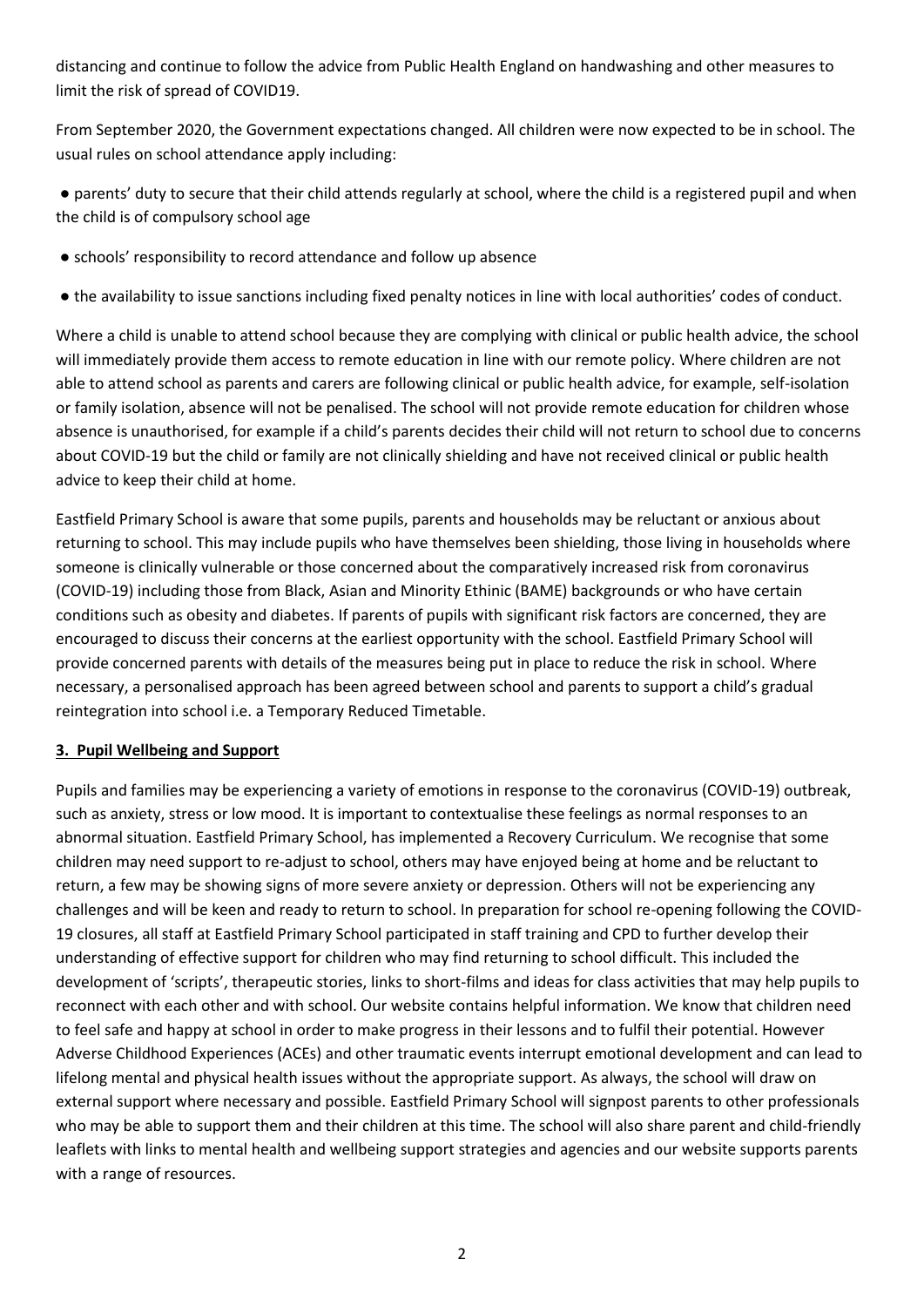distancing and continue to follow the advice from Public Health England on handwashing and other measures to limit the risk of spread of COVID19.

From September 2020, the Government expectations changed. All children were now expected to be in school. The usual rules on school attendance apply including:

● parents' duty to secure that their child attends regularly at school, where the child is a registered pupil and when the child is of compulsory school age

- schools' responsibility to record attendance and follow up absence
- the availability to issue sanctions including fixed penalty notices in line with local authorities' codes of conduct.

Where a child is unable to attend school because they are complying with clinical or public health advice, the school will immediately provide them access to remote education in line with our remote policy. Where children are not able to attend school as parents and carers are following clinical or public health advice, for example, self-isolation or family isolation, absence will not be penalised. The school will not provide remote education for children whose absence is unauthorised, for example if a child's parents decides their child will not return to school due to concerns about COVID-19 but the child or family are not clinically shielding and have not received clinical or public health advice to keep their child at home.

Eastfield Primary School is aware that some pupils, parents and households may be reluctant or anxious about returning to school. This may include pupils who have themselves been shielding, those living in households where someone is clinically vulnerable or those concerned about the comparatively increased risk from coronavirus (COVID-19) including those from Black, Asian and Minority Ethinic (BAME) backgrounds or who have certain conditions such as obesity and diabetes. If parents of pupils with significant risk factors are concerned, they are encouraged to discuss their concerns at the earliest opportunity with the school. Eastfield Primary School will provide concerned parents with details of the measures being put in place to reduce the risk in school. Where necessary, a personalised approach has been agreed between school and parents to support a child's gradual reintegration into school i.e. a Temporary Reduced Timetable.

#### **3. Pupil Wellbeing and Support**

Pupils and families may be experiencing a variety of emotions in response to the coronavirus (COVID-19) outbreak, such as anxiety, stress or low mood. It is important to contextualise these feelings as normal responses to an abnormal situation. Eastfield Primary School, has implemented a Recovery Curriculum. We recognise that some children may need support to re-adjust to school, others may have enjoyed being at home and be reluctant to return, a few may be showing signs of more severe anxiety or depression. Others will not be experiencing any challenges and will be keen and ready to return to school. In preparation for school re-opening following the COVID-19 closures, all staff at Eastfield Primary School participated in staff training and CPD to further develop their understanding of effective support for children who may find returning to school difficult. This included the development of 'scripts', therapeutic stories, links to short-films and ideas for class activities that may help pupils to reconnect with each other and with school. Our website contains helpful information. We know that children need to feel safe and happy at school in order to make progress in their lessons and to fulfil their potential. However Adverse Childhood Experiences (ACEs) and other traumatic events interrupt emotional development and can lead to lifelong mental and physical health issues without the appropriate support. As always, the school will draw on external support where necessary and possible. Eastfield Primary School will signpost parents to other professionals who may be able to support them and their children at this time. The school will also share parent and child-friendly leaflets with links to mental health and wellbeing support strategies and agencies and our website supports parents with a range of resources.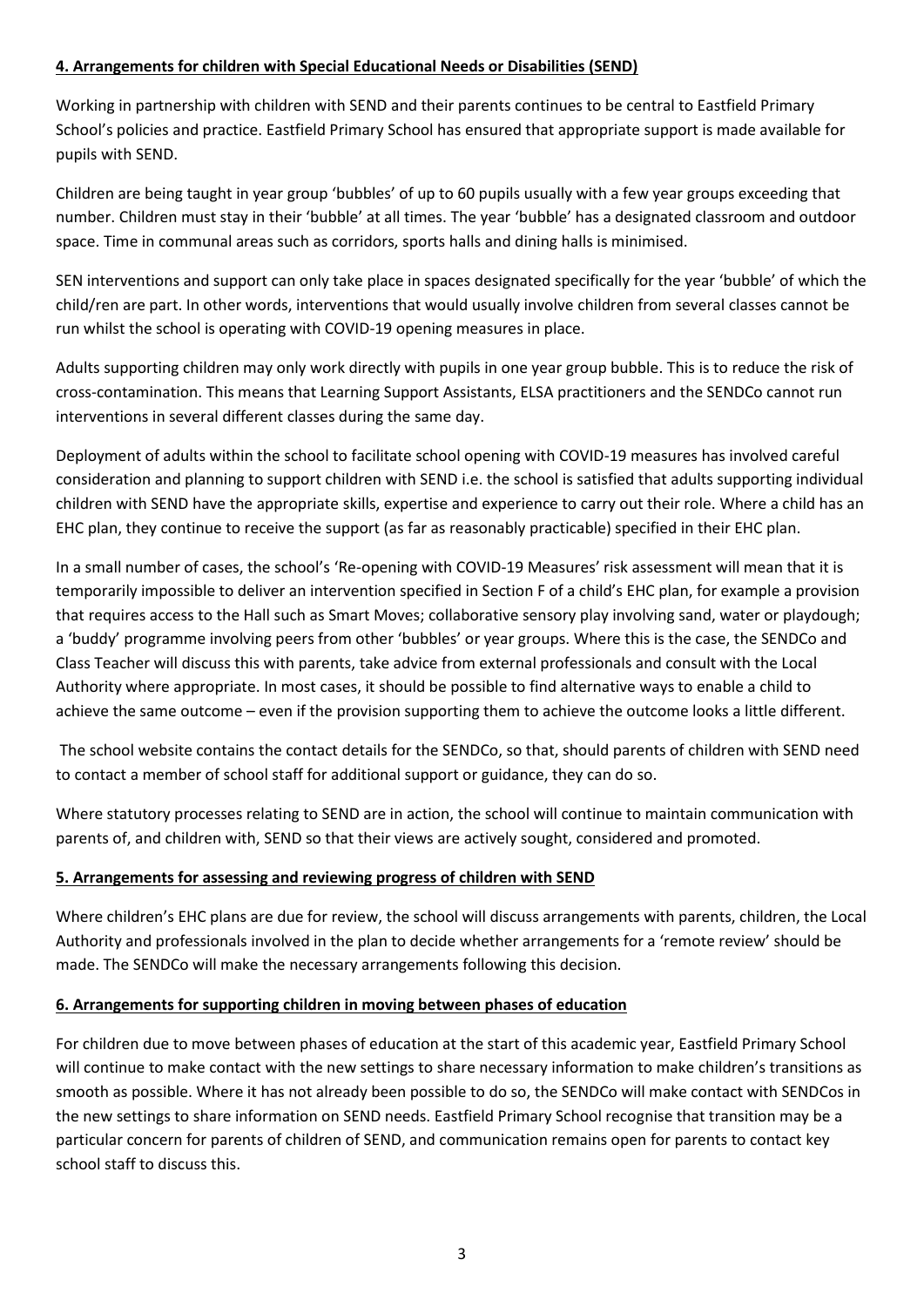#### **4. Arrangements for children with Special Educational Needs or Disabilities (SEND)**

Working in partnership with children with SEND and their parents continues to be central to Eastfield Primary School's policies and practice. Eastfield Primary School has ensured that appropriate support is made available for pupils with SEND.

Children are being taught in year group 'bubbles' of up to 60 pupils usually with a few year groups exceeding that number. Children must stay in their 'bubble' at all times. The year 'bubble' has a designated classroom and outdoor space. Time in communal areas such as corridors, sports halls and dining halls is minimised.

SEN interventions and support can only take place in spaces designated specifically for the year 'bubble' of which the child/ren are part. In other words, interventions that would usually involve children from several classes cannot be run whilst the school is operating with COVID-19 opening measures in place.

Adults supporting children may only work directly with pupils in one year group bubble. This is to reduce the risk of cross-contamination. This means that Learning Support Assistants, ELSA practitioners and the SENDCo cannot run interventions in several different classes during the same day.

Deployment of adults within the school to facilitate school opening with COVID-19 measures has involved careful consideration and planning to support children with SEND i.e. the school is satisfied that adults supporting individual children with SEND have the appropriate skills, expertise and experience to carry out their role. Where a child has an EHC plan, they continue to receive the support (as far as reasonably practicable) specified in their EHC plan.

In a small number of cases, the school's 'Re-opening with COVID-19 Measures' risk assessment will mean that it is temporarily impossible to deliver an intervention specified in Section F of a child's EHC plan, for example a provision that requires access to the Hall such as Smart Moves; collaborative sensory play involving sand, water or playdough; a 'buddy' programme involving peers from other 'bubbles' or year groups. Where this is the case, the SENDCo and Class Teacher will discuss this with parents, take advice from external professionals and consult with the Local Authority where appropriate. In most cases, it should be possible to find alternative ways to enable a child to achieve the same outcome – even if the provision supporting them to achieve the outcome looks a little different.

The school website contains the contact details for the SENDCo, so that, should parents of children with SEND need to contact a member of school staff for additional support or guidance, they can do so.

Where statutory processes relating to SEND are in action, the school will continue to maintain communication with parents of, and children with, SEND so that their views are actively sought, considered and promoted.

#### **5. Arrangements for assessing and reviewing progress of children with SEND**

Where children's EHC plans are due for review, the school will discuss arrangements with parents, children, the Local Authority and professionals involved in the plan to decide whether arrangements for a 'remote review' should be made. The SENDCo will make the necessary arrangements following this decision.

#### **6. Arrangements for supporting children in moving between phases of education**

For children due to move between phases of education at the start of this academic year, Eastfield Primary School will continue to make contact with the new settings to share necessary information to make children's transitions as smooth as possible. Where it has not already been possible to do so, the SENDCo will make contact with SENDCos in the new settings to share information on SEND needs. Eastfield Primary School recognise that transition may be a particular concern for parents of children of SEND, and communication remains open for parents to contact key school staff to discuss this.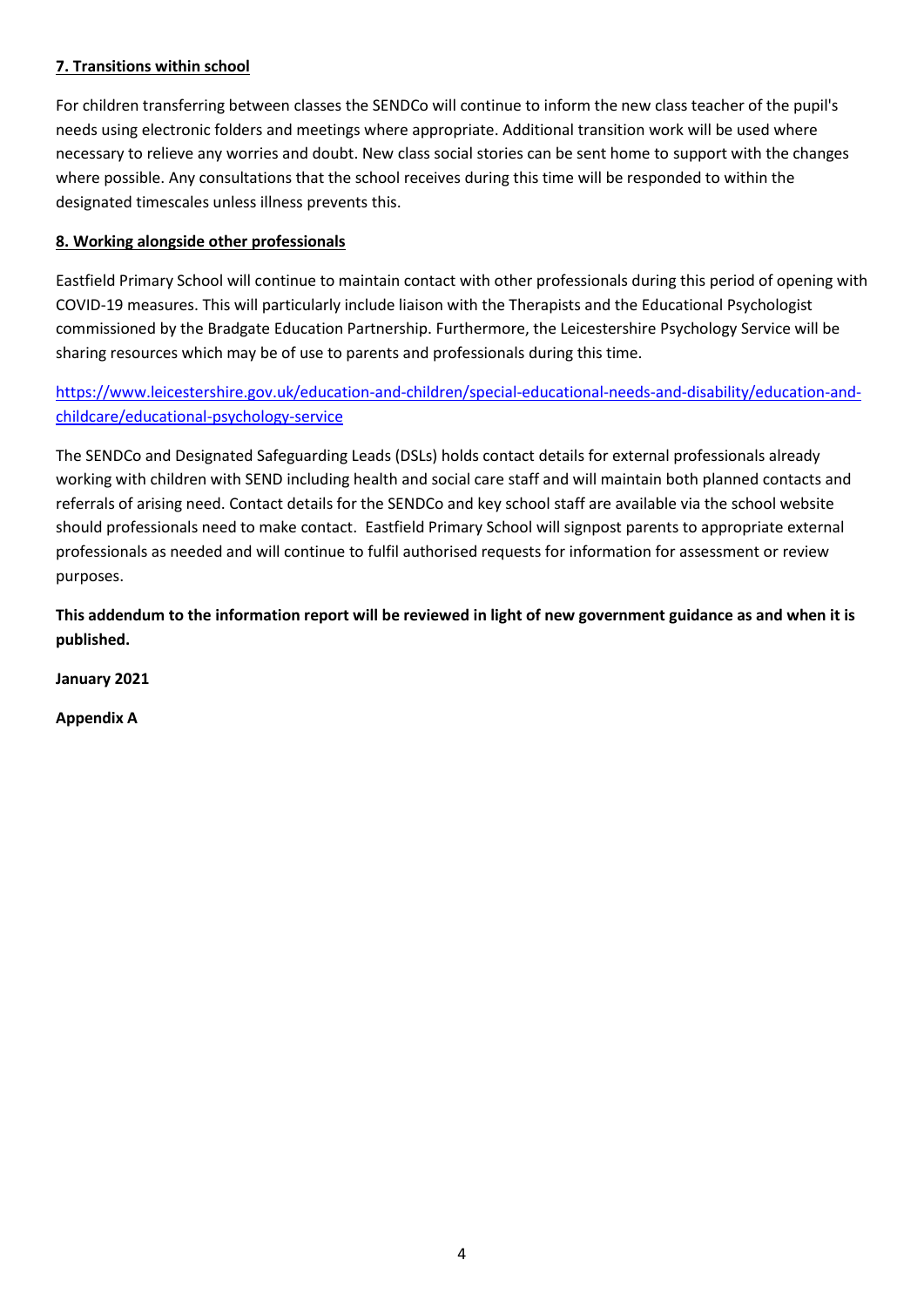### **7. Transitions within school**

For children transferring between classes the SENDCo will continue to inform the new class teacher of the pupil's needs using electronic folders and meetings where appropriate. Additional transition work will be used where necessary to relieve any worries and doubt. New class social stories can be sent home to support with the changes where possible. Any consultations that the school receives during this time will be responded to within the designated timescales unless illness prevents this.

### **8. Working alongside other professionals**

Eastfield Primary School will continue to maintain contact with other professionals during this period of opening with COVID-19 measures. This will particularly include liaison with the Therapists and the Educational Psychologist commissioned by the Bradgate Education Partnership. Furthermore, the Leicestershire Psychology Service will be sharing resources which may be of use to parents and professionals during this time.

## [https://www.leicestershire.gov.uk/education-and-children/special-educational-needs-and-disability/education-and](https://www.leicestershire.gov.uk/education-and-children/special-educational-needs-and-disability/education-and-childcare/educational-psychology-service)[childcare/educational-psychology-service](https://www.leicestershire.gov.uk/education-and-children/special-educational-needs-and-disability/education-and-childcare/educational-psychology-service)

The SENDCo and Designated Safeguarding Leads (DSLs) holds contact details for external professionals already working with children with SEND including health and social care staff and will maintain both planned contacts and referrals of arising need. Contact details for the SENDCo and key school staff are available via the school website should professionals need to make contact. Eastfield Primary School will signpost parents to appropriate external professionals as needed and will continue to fulfil authorised requests for information for assessment or review purposes.

**This addendum to the information report will be reviewed in light of new government guidance as and when it is published.** 

**January 2021**

**Appendix A**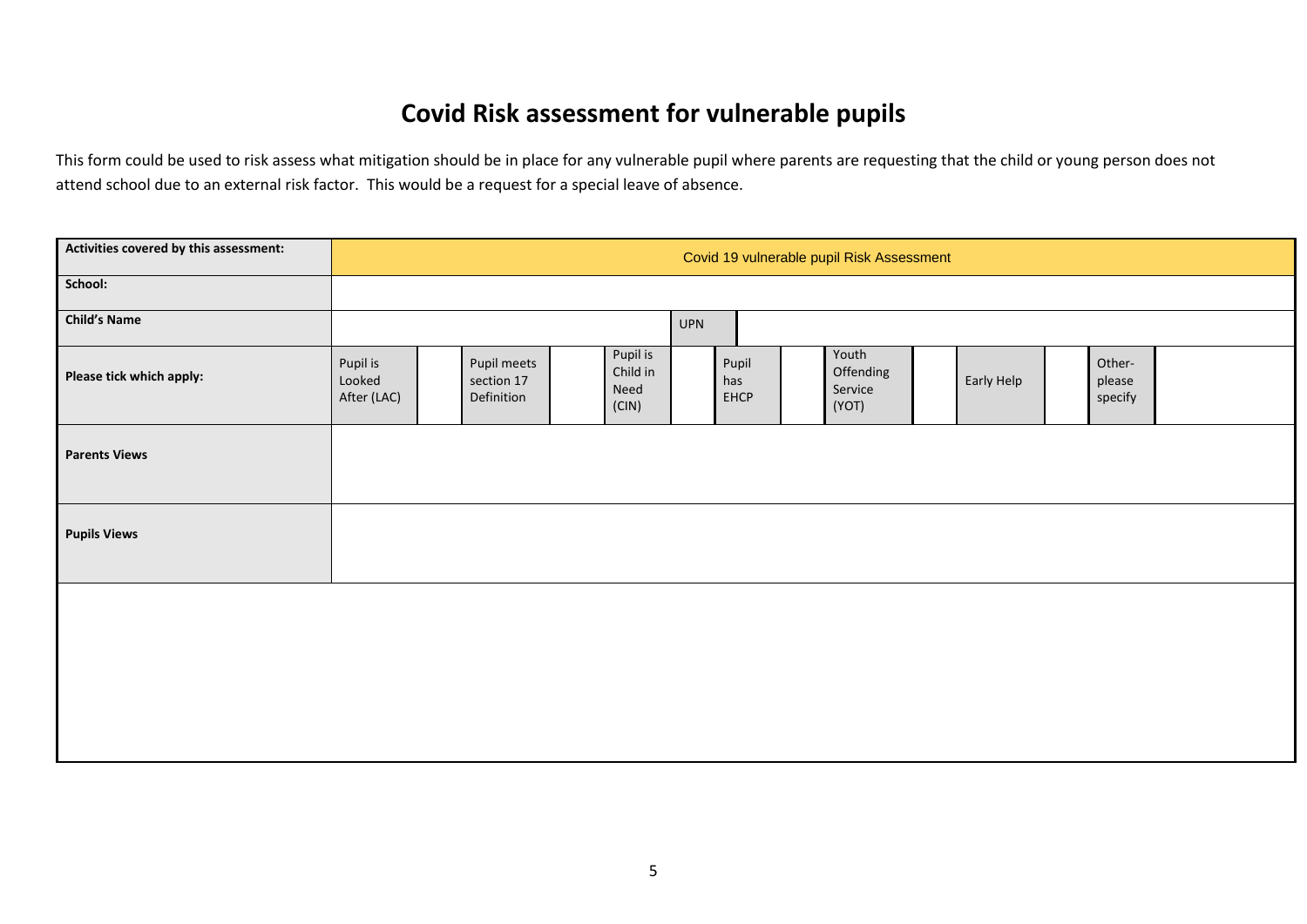# **Covid Risk assessment for vulnerable pupils**

This form could be used to risk assess what mitigation should be in place for any vulnerable pupil where parents are requesting that the child or young person does not attend school due to an external risk factor. This would be a request for a special leave of absence.

| Activities covered by this assessment: |                                   | Covid 19 vulnerable pupil Risk Assessment |                                         |  |                                       |            |                      |  |                                        |            |                             |  |
|----------------------------------------|-----------------------------------|-------------------------------------------|-----------------------------------------|--|---------------------------------------|------------|----------------------|--|----------------------------------------|------------|-----------------------------|--|
| School:                                |                                   |                                           |                                         |  |                                       |            |                      |  |                                        |            |                             |  |
| <b>Child's Name</b>                    |                                   |                                           |                                         |  |                                       | <b>UPN</b> |                      |  |                                        |            |                             |  |
| Please tick which apply:               | Pupil is<br>Looked<br>After (LAC) |                                           | Pupil meets<br>section 17<br>Definition |  | Pupil is<br>Child in<br>Need<br>(CIN) |            | Pupil<br>has<br>EHCP |  | Youth<br>Offending<br>Service<br>(YOT) | Early Help | Other-<br>please<br>specify |  |
| <b>Parents Views</b>                   |                                   |                                           |                                         |  |                                       |            |                      |  |                                        |            |                             |  |
| <b>Pupils Views</b>                    |                                   |                                           |                                         |  |                                       |            |                      |  |                                        |            |                             |  |
|                                        |                                   |                                           |                                         |  |                                       |            |                      |  |                                        |            |                             |  |
|                                        |                                   |                                           |                                         |  |                                       |            |                      |  |                                        |            |                             |  |
|                                        |                                   |                                           |                                         |  |                                       |            |                      |  |                                        |            |                             |  |
|                                        |                                   |                                           |                                         |  |                                       |            |                      |  |                                        |            |                             |  |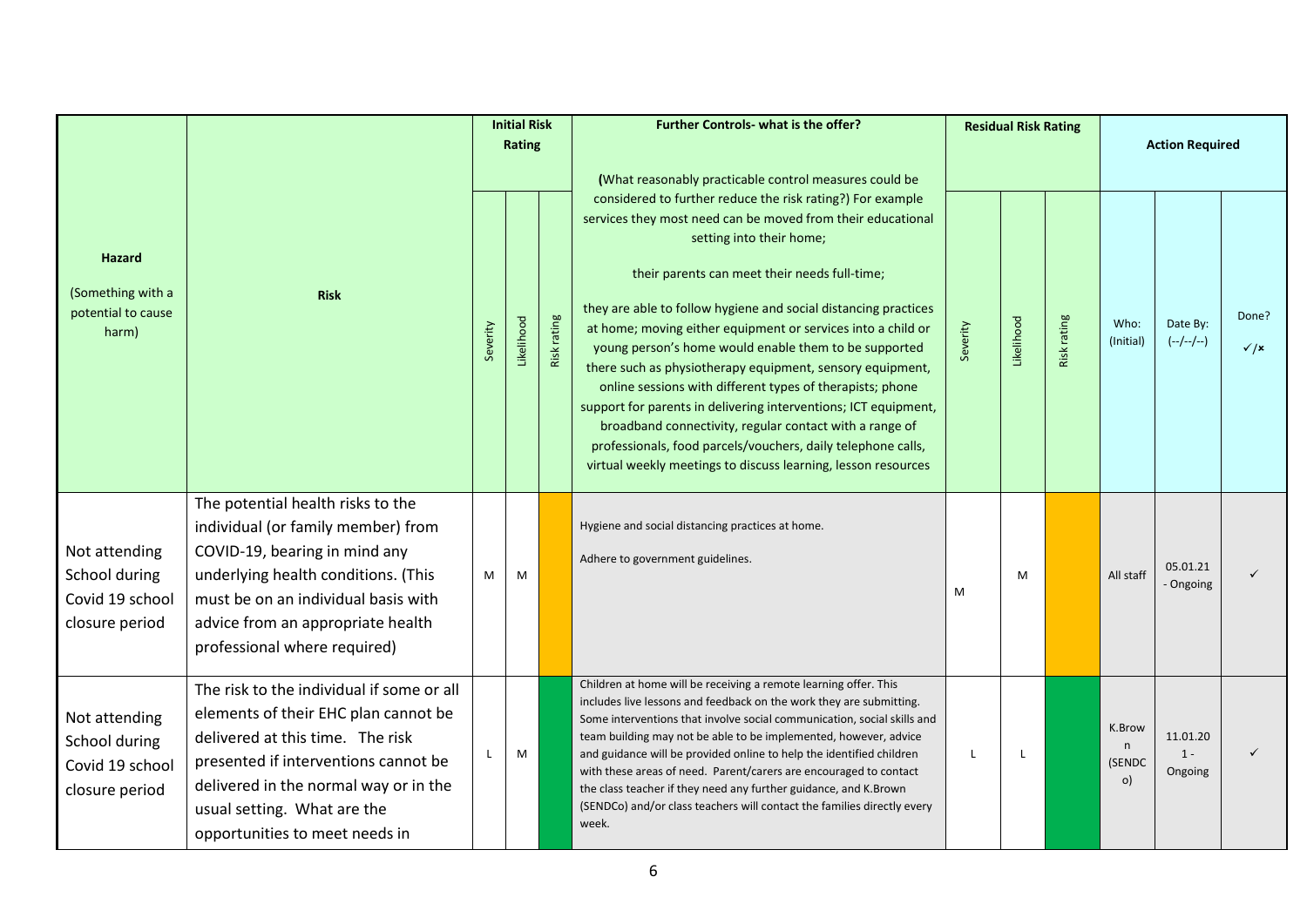|                                                                     |                                                                                                                                                                                                                                                                         | <b>Initial Risk</b><br>Rating |            |             | <b>Further Controls- what is the offer?</b><br>(What reasonably practicable control measures could be                                                                                                                                                                                                                                                                                                                                                                                                                                                                                                                                                                                                                                                                                       |   | <b>Residual Risk Rating</b> |             |                             | <b>Action Required</b>       |                          |  |
|---------------------------------------------------------------------|-------------------------------------------------------------------------------------------------------------------------------------------------------------------------------------------------------------------------------------------------------------------------|-------------------------------|------------|-------------|---------------------------------------------------------------------------------------------------------------------------------------------------------------------------------------------------------------------------------------------------------------------------------------------------------------------------------------------------------------------------------------------------------------------------------------------------------------------------------------------------------------------------------------------------------------------------------------------------------------------------------------------------------------------------------------------------------------------------------------------------------------------------------------------|---|-----------------------------|-------------|-----------------------------|------------------------------|--------------------------|--|
| <b>Hazard</b><br>(Something with a<br>potential to cause<br>harm)   | <b>Risk</b>                                                                                                                                                                                                                                                             |                               | Likelihood | Risk rating | considered to further reduce the risk rating?) For example<br>services they most need can be moved from their educational<br>setting into their home;<br>their parents can meet their needs full-time;<br>they are able to follow hygiene and social distancing practices<br>at home; moving either equipment or services into a child or<br>young person's home would enable them to be supported<br>there such as physiotherapy equipment, sensory equipment,<br>online sessions with different types of therapists; phone<br>support for parents in delivering interventions; ICT equipment,<br>broadband connectivity, regular contact with a range of<br>professionals, food parcels/vouchers, daily telephone calls,<br>virtual weekly meetings to discuss learning, lesson resources |   | Likelihood                  | Risk rating | Who:<br>(Initial)           | Date By:<br>$(-/-/-/-)$      | Done?<br>$\checkmark$ /x |  |
| Not attending<br>School during<br>Covid 19 school<br>closure period | The potential health risks to the<br>individual (or family member) from<br>COVID-19, bearing in mind any<br>underlying health conditions. (This<br>must be on an individual basis with<br>advice from an appropriate health<br>professional where required)             | M                             | M          |             | Hygiene and social distancing practices at home.<br>Adhere to government guidelines.                                                                                                                                                                                                                                                                                                                                                                                                                                                                                                                                                                                                                                                                                                        | M | M                           |             | All staff                   | 05.01.21<br>Ongoing          |                          |  |
| Not attending<br>School during<br>Covid 19 school<br>closure period | The risk to the individual if some or all<br>elements of their EHC plan cannot be<br>delivered at this time. The risk<br>presented if interventions cannot be<br>delivered in the normal way or in the<br>usual setting. What are the<br>opportunities to meet needs in |                               | M          |             | Children at home will be receiving a remote learning offer. This<br>includes live lessons and feedback on the work they are submitting.<br>Some interventions that involve social communication, social skills and<br>team building may not be able to be implemented, however, advice<br>and guidance will be provided online to help the identified children<br>with these areas of need. Parent/carers are encouraged to contact<br>the class teacher if they need any further guidance, and K.Brown<br>(SENDCo) and/or class teachers will contact the families directly every<br>week.                                                                                                                                                                                                 |   | L                           |             | K.Brow<br>n<br>(SENDC<br>O) | 11.01.20<br>$1 -$<br>Ongoing |                          |  |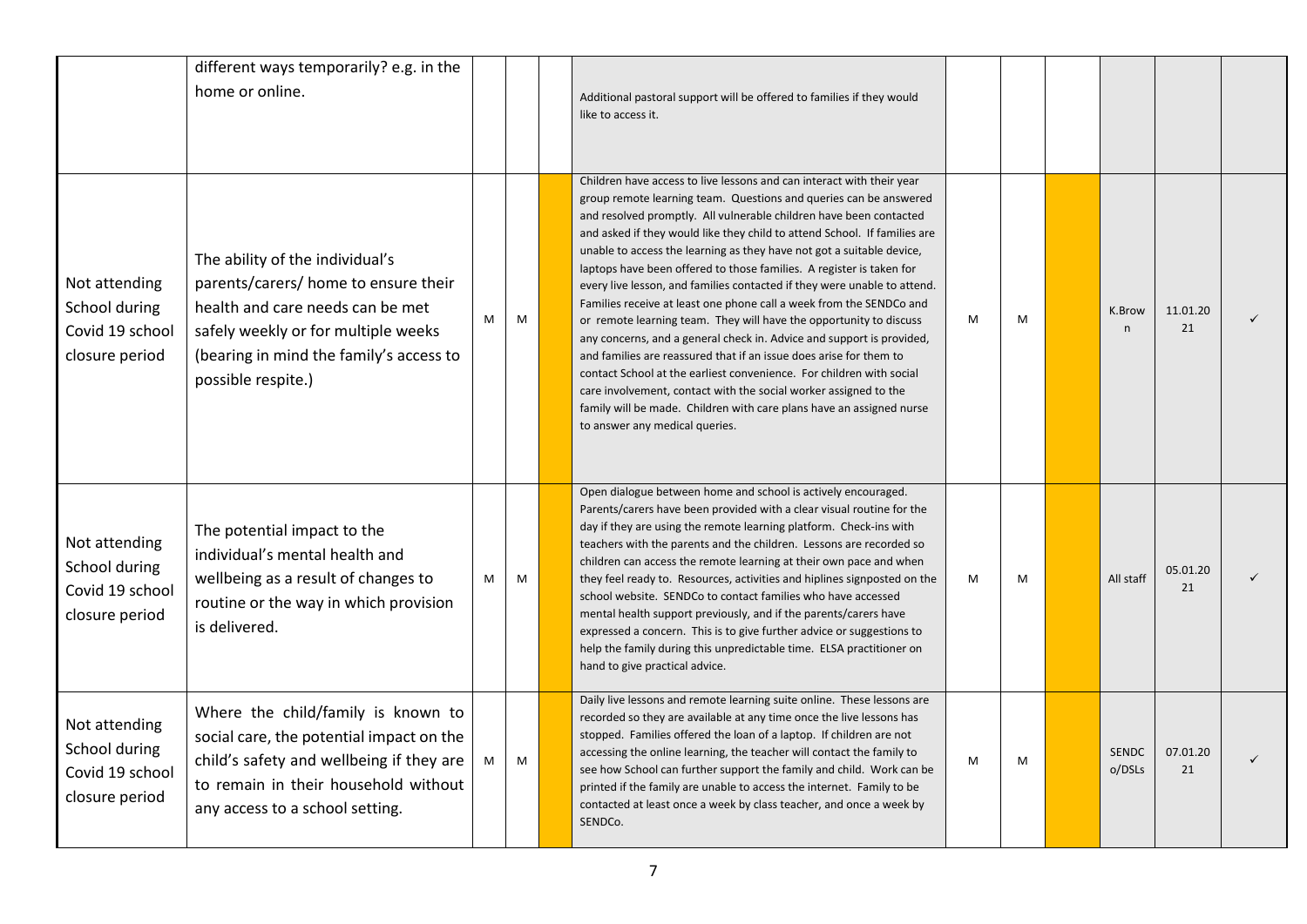|                                                                     | different ways temporarily? e.g. in the<br>home or online.                                                                                                                                                          |   |   | Additional pastoral support will be offered to families if they would<br>like to access it.                                                                                                                                                                                                                                                                                                                                                                                                                                                                                                                                                                                                                                                                                                                                                                                                                                                                                                                                                                                  |   |   |                        |                |  |
|---------------------------------------------------------------------|---------------------------------------------------------------------------------------------------------------------------------------------------------------------------------------------------------------------|---|---|------------------------------------------------------------------------------------------------------------------------------------------------------------------------------------------------------------------------------------------------------------------------------------------------------------------------------------------------------------------------------------------------------------------------------------------------------------------------------------------------------------------------------------------------------------------------------------------------------------------------------------------------------------------------------------------------------------------------------------------------------------------------------------------------------------------------------------------------------------------------------------------------------------------------------------------------------------------------------------------------------------------------------------------------------------------------------|---|---|------------------------|----------------|--|
| Not attending<br>School during<br>Covid 19 school<br>closure period | The ability of the individual's<br>parents/carers/ home to ensure their<br>health and care needs can be met<br>safely weekly or for multiple weeks<br>(bearing in mind the family's access to<br>possible respite.) | M | M | Children have access to live lessons and can interact with their year<br>group remote learning team. Questions and queries can be answered<br>and resolved promptly. All vulnerable children have been contacted<br>and asked if they would like they child to attend School. If families are<br>unable to access the learning as they have not got a suitable device,<br>laptops have been offered to those families. A register is taken for<br>every live lesson, and families contacted if they were unable to attend.<br>Families receive at least one phone call a week from the SENDCo and<br>or remote learning team. They will have the opportunity to discuss<br>any concerns, and a general check in. Advice and support is provided,<br>and families are reassured that if an issue does arise for them to<br>contact School at the earliest convenience. For children with social<br>care involvement, contact with the social worker assigned to the<br>family will be made. Children with care plans have an assigned nurse<br>to answer any medical queries. | M | M | K.Brow<br>$\mathsf{n}$ | 11.01.20<br>21 |  |
| Not attending<br>School during<br>Covid 19 school<br>closure period | The potential impact to the<br>individual's mental health and<br>wellbeing as a result of changes to<br>routine or the way in which provision<br>is delivered.                                                      | M | M | Open dialogue between home and school is actively encouraged.<br>Parents/carers have been provided with a clear visual routine for the<br>day if they are using the remote learning platform. Check-ins with<br>teachers with the parents and the children. Lessons are recorded so<br>children can access the remote learning at their own pace and when<br>they feel ready to. Resources, activities and hiplines signposted on the<br>school website. SENDCo to contact families who have accessed<br>mental health support previously, and if the parents/carers have<br>expressed a concern. This is to give further advice or suggestions to<br>help the family during this unpredictable time. ELSA practitioner on<br>hand to give practical advice.                                                                                                                                                                                                                                                                                                                 | M | M | All staff              | 05.01.20<br>21 |  |
| Not attending<br>School during<br>Covid 19 school<br>closure period | Where the child/family is known to<br>social care, the potential impact on the<br>child's safety and wellbeing if they are<br>to remain in their household without<br>any access to a school setting.               | M | M | Daily live lessons and remote learning suite online. These lessons are<br>recorded so they are available at any time once the live lessons has<br>stopped. Families offered the loan of a laptop. If children are not<br>accessing the online learning, the teacher will contact the family to<br>see how School can further support the family and child. Work can be<br>printed if the family are unable to access the internet. Family to be<br>contacted at least once a week by class teacher, and once a week by<br>SENDCo.                                                                                                                                                                                                                                                                                                                                                                                                                                                                                                                                            | M | M | <b>SENDC</b><br>o/DSLs | 07.01.20<br>21 |  |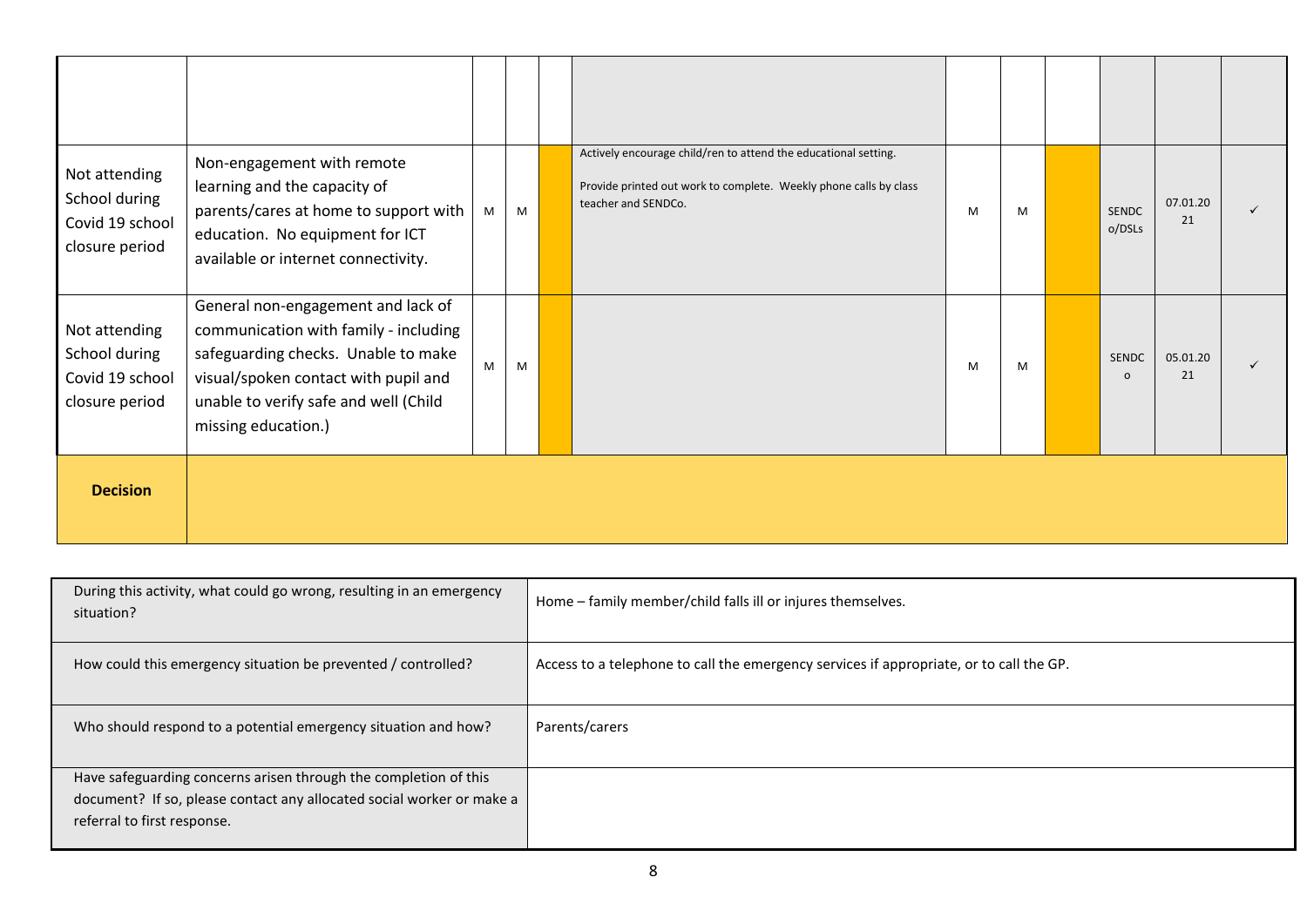| Not attending<br>School during<br>Covid 19 school<br>closure period | Non-engagement with remote<br>learning and the capacity of<br>parents/cares at home to support with<br>education. No equipment for ICT<br>available or internet connectivity.                                              | M | M | Actively encourage child/ren to attend the educational setting.<br>Provide printed out work to complete. Weekly phone calls by class<br>teacher and SENDCo. | M | M | <b>SENDC</b><br>o/DSLs   | 07.01.20<br>21 |  |
|---------------------------------------------------------------------|----------------------------------------------------------------------------------------------------------------------------------------------------------------------------------------------------------------------------|---|---|-------------------------------------------------------------------------------------------------------------------------------------------------------------|---|---|--------------------------|----------------|--|
| Not attending<br>School during<br>Covid 19 school<br>closure period | General non-engagement and lack of<br>communication with family - including<br>safeguarding checks. Unable to make<br>visual/spoken contact with pupil and<br>unable to verify safe and well (Child<br>missing education.) | M | M |                                                                                                                                                             | M | M | <b>SENDC</b><br>$\Omega$ | 05.01.20<br>21 |  |
| <b>Decision</b>                                                     |                                                                                                                                                                                                                            |   |   |                                                                                                                                                             |   |   |                          |                |  |

| During this activity, what could go wrong, resulting in an emergency<br>situation? | Home - family member/child falls ill or injures themselves.                             |
|------------------------------------------------------------------------------------|-----------------------------------------------------------------------------------------|
| How could this emergency situation be prevented / controlled?                      | Access to a telephone to call the emergency services if appropriate, or to call the GP. |
| Who should respond to a potential emergency situation and how?                     | Parents/carers                                                                          |
| Have safeguarding concerns arisen through the completion of this                   |                                                                                         |
| document? If so, please contact any allocated social worker or make a              |                                                                                         |
| referral to first response.                                                        |                                                                                         |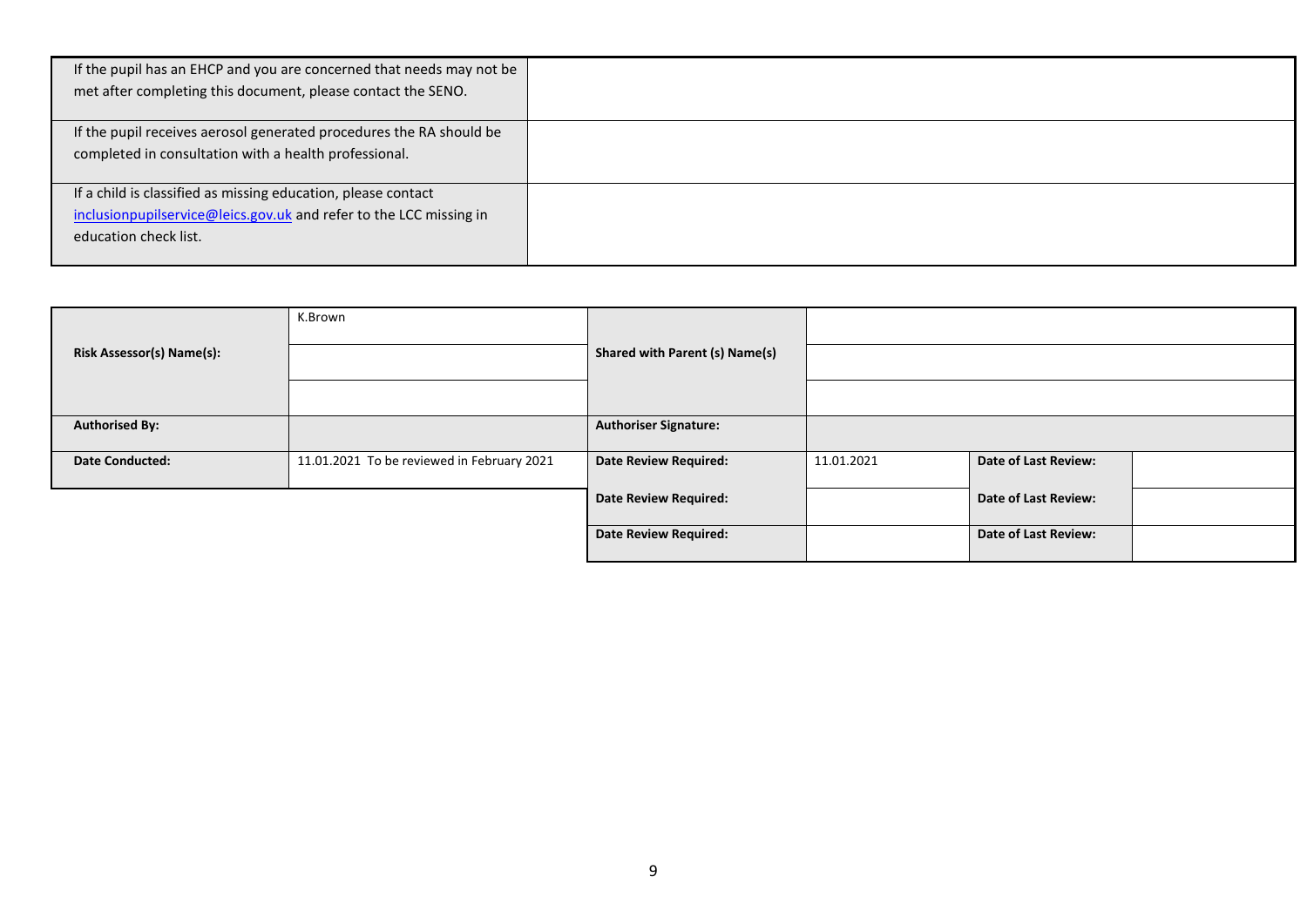| If the pupil has an EHCP and you are concerned that needs may not be<br>met after completing this document, please contact the SENO.                         |  |
|--------------------------------------------------------------------------------------------------------------------------------------------------------------|--|
| If the pupil receives aerosol generated procedures the RA should be<br>completed in consultation with a health professional.                                 |  |
| If a child is classified as missing education, please contact<br>inclusionpupilservice@leics.gov.uk and refer to the LCC missing in<br>education check list. |  |

|                           | K.Brown                                    |                                       |            |                             |  |
|---------------------------|--------------------------------------------|---------------------------------------|------------|-----------------------------|--|
| Risk Assessor(s) Name(s): |                                            | <b>Shared with Parent (s) Name(s)</b> |            |                             |  |
|                           |                                            |                                       |            |                             |  |
| <b>Authorised By:</b>     |                                            | <b>Authoriser Signature:</b>          |            |                             |  |
| <b>Date Conducted:</b>    | 11.01.2021 To be reviewed in February 2021 | <b>Date Review Required:</b>          | 11.01.2021 | Date of Last Review:        |  |
|                           |                                            | <b>Date Review Required:</b>          |            | <b>Date of Last Review:</b> |  |
|                           |                                            | <b>Date Review Required:</b>          |            | Date of Last Review:        |  |